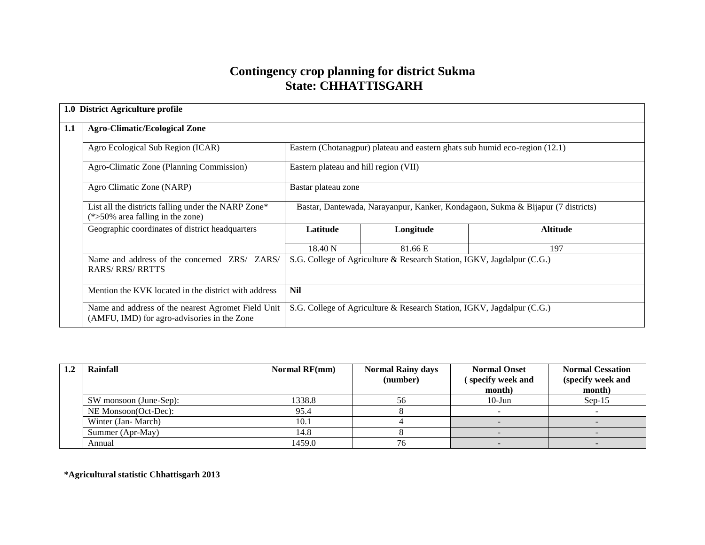## **Contingency crop planning for district Sukma State: CHHATTISGARH**

|     | 1.0 District Agriculture profile                                                                  |                                                                                 |                                                                        |                 |  |  |
|-----|---------------------------------------------------------------------------------------------------|---------------------------------------------------------------------------------|------------------------------------------------------------------------|-----------------|--|--|
| 1.1 | <b>Agro-Climatic/Ecological Zone</b>                                                              |                                                                                 |                                                                        |                 |  |  |
|     | Agro Ecological Sub Region (ICAR)                                                                 | Eastern (Chotanagpur) plateau and eastern ghats sub humid eco-region (12.1)     |                                                                        |                 |  |  |
|     | Agro-Climatic Zone (Planning Commission)                                                          | Eastern plateau and hill region (VII)                                           |                                                                        |                 |  |  |
|     | Agro Climatic Zone (NARP)                                                                         | Bastar plateau zone                                                             |                                                                        |                 |  |  |
|     | List all the districts falling under the NARP Zone*<br>$(*>50\%$ area falling in the zone)        | Bastar, Dantewada, Narayanpur, Kanker, Kondagaon, Sukma & Bijapur (7 districts) |                                                                        |                 |  |  |
|     | Geographic coordinates of district headquarters                                                   | Latitude                                                                        | Longitude                                                              | <b>Altitude</b> |  |  |
|     |                                                                                                   | 18.40 N                                                                         | 81.66 E                                                                | 197             |  |  |
|     | Name and address of the concerned ZRS/ ZARS/<br><b>RARS/RRS/RRTTS</b>                             | S.G. College of Agriculture & Research Station, IGKV, Jagdalpur (C.G.)          |                                                                        |                 |  |  |
|     | Mention the KVK located in the district with address                                              | <b>Nil</b>                                                                      |                                                                        |                 |  |  |
|     | Name and address of the nearest Agromet Field Unit<br>(AMFU, IMD) for agro-advisories in the Zone |                                                                                 | S.G. College of Agriculture & Research Station, IGKV, Jagdalpur (C.G.) |                 |  |  |

| Rainfall               | Normal $RF(mm)$ | <b>Normal Rainy days</b><br>(number) | <b>Normal Onset</b><br>specify week and<br>month) | <b>Normal Cessation</b><br>(specify week and<br>month) |
|------------------------|-----------------|--------------------------------------|---------------------------------------------------|--------------------------------------------------------|
| SW monsoon (June-Sep): | 1338.8          | 56                                   | $10$ -Jun                                         | $Sep-15$                                               |
| NE Monsoon(Oct-Dec):   | 95.4            |                                      |                                                   |                                                        |
| Winter (Jan-March)     | 10.1            |                                      |                                                   |                                                        |
| Summer (Apr-May)       | 14.8            |                                      |                                                   |                                                        |
| Annual                 | 1459.0          |                                      |                                                   |                                                        |

**\*Agricultural statistic Chhattisgarh 2013**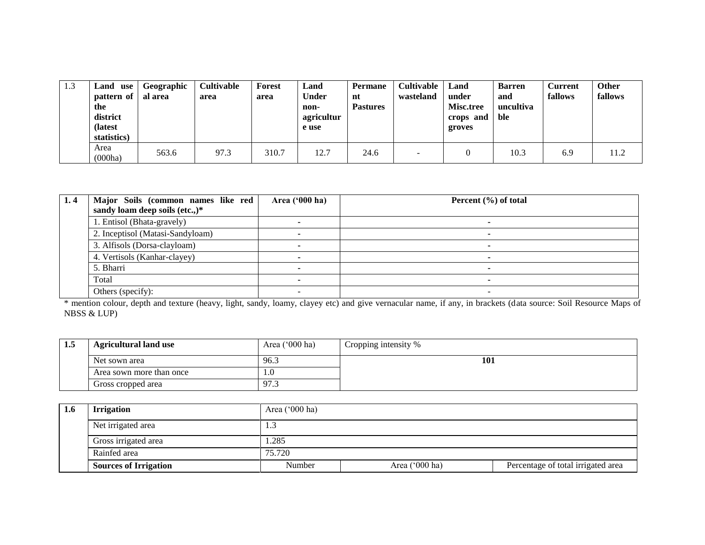| 1.3 | <b>∟and</b><br>use<br>pattern of<br>the<br>district<br>(latest)<br>statistics) | Geographic<br>al area | <b>Cultivable</b><br>area | Forest<br>area | Land<br><b>Under</b><br>non-<br>agricultur<br>e use | <b>Permane</b><br>nt<br><b>Pastures</b> | Cultivable<br>wasteland | Land<br>under<br>Misc.tree<br>crops and<br>groves | <b>Barren</b><br>and<br>uncultiva<br>ble | <b>Current</b><br>fallows | <b>Other</b><br>fallows |
|-----|--------------------------------------------------------------------------------|-----------------------|---------------------------|----------------|-----------------------------------------------------|-----------------------------------------|-------------------------|---------------------------------------------------|------------------------------------------|---------------------------|-------------------------|
|     | Area<br>(000ha)                                                                | 563.6                 | 97.3                      | 310.7          | 12.7                                                | 24.6                                    |                         |                                                   | 10.3                                     | 6.9                       | 11.2                    |

| 1.4 | Major Soils (common names like red | Area ('000 ha) | Percent $(\% )$ of total |
|-----|------------------------------------|----------------|--------------------------|
|     | sandy loam deep soils (etc.,)*     |                |                          |
|     | 1. Entisol (Bhata-gravely)         |                |                          |
|     | 2. Inceptisol (Matasi-Sandyloam)   |                |                          |
|     | 3. Alfisols (Dorsa-clayloam)       |                |                          |
|     | 4. Vertisols (Kanhar-clayey)       |                |                          |
|     | 5. Bharri                          |                |                          |
|     | Total                              |                |                          |
|     | Others (specify):                  |                | -                        |

\* mention colour, depth and texture (heavy, light, sandy, loamy, clayey etc) and give vernacular name, if any, in brackets (data source: Soil Resource Maps of NBSS & LUP)

| 1.J | <b>Agricultural land use</b> | Area $('000 ha)$ | Cropping intensity % |
|-----|------------------------------|------------------|----------------------|
|     | Net sown area                | د.96             | 101                  |
|     | Area sown more than once     | . . v            |                      |
|     | Gross cropped area           | 97.5             |                      |

| 1.6 | <b>Irrigation</b>            | Area $('000 ha)$ |                  |                                    |  |  |  |  |
|-----|------------------------------|------------------|------------------|------------------------------------|--|--|--|--|
|     | Net irrigated area           | 1.3              |                  |                                    |  |  |  |  |
|     | Gross irrigated area         | .285             |                  |                                    |  |  |  |  |
|     | Rainfed area                 | 75.720           |                  |                                    |  |  |  |  |
|     | <b>Sources of Irrigation</b> | Number           | Area $('000 ha)$ | Percentage of total irrigated area |  |  |  |  |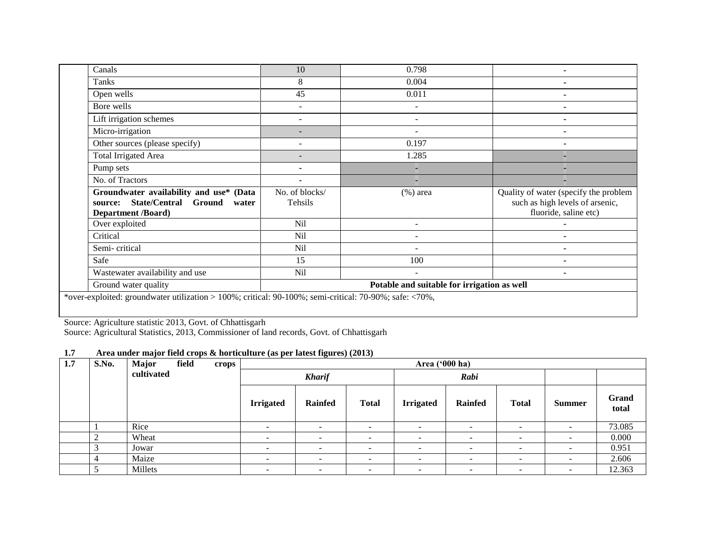| Canals                                                                                                            | 10                                          | 0.798          |                                       |  |  |
|-------------------------------------------------------------------------------------------------------------------|---------------------------------------------|----------------|---------------------------------------|--|--|
| Tanks                                                                                                             | 8                                           | 0.004          |                                       |  |  |
| Open wells                                                                                                        | 45                                          | 0.011          |                                       |  |  |
| Bore wells                                                                                                        |                                             |                |                                       |  |  |
| Lift irrigation schemes                                                                                           |                                             |                |                                       |  |  |
| Micro-irrigation                                                                                                  |                                             |                |                                       |  |  |
| Other sources (please specify)                                                                                    | $\overline{a}$                              | 0.197          |                                       |  |  |
| <b>Total Irrigated Area</b>                                                                                       | $\overline{\phantom{0}}$                    | 1.285          |                                       |  |  |
| Pump sets                                                                                                         | ۰                                           |                |                                       |  |  |
| No. of Tractors                                                                                                   | $\blacksquare$                              |                |                                       |  |  |
| Groundwater availability and use* (Data                                                                           | No. of blocks/                              | $(\%)$ area    | Quality of water (specify the problem |  |  |
| State/Central Ground<br>source:<br>water                                                                          | Tehsils                                     |                | such as high levels of arsenic,       |  |  |
| <b>Department /Board)</b>                                                                                         |                                             |                | fluoride, saline etc)                 |  |  |
| Over exploited                                                                                                    | Nil                                         | $\blacksquare$ |                                       |  |  |
| Critical                                                                                                          | Nil                                         |                |                                       |  |  |
| Semi-critical                                                                                                     | Nil                                         |                | $\overline{\phantom{a}}$              |  |  |
| Safe                                                                                                              | 15                                          | 100            |                                       |  |  |
| Wastewater availability and use                                                                                   | Nil                                         | ٠              | $\blacksquare$                        |  |  |
| Ground water quality                                                                                              | Potable and suitable for irrigation as well |                |                                       |  |  |
| *over-exploited: groundwater utilization > 100%; critical: 90-100%; semi-critical: 70-90%; safe: $\langle 70\%$ , |                                             |                |                                       |  |  |

Source: Agriculture statistic 2013, Govt. of Chhattisgarh

Source: Agricultural Statistics, 2013, Commissioner of land records, Govt. of Chhattisgarh

## **1.7 Area under major field crops & horticulture (as per latest figures) (2013)**

| 1.7 | S.No. | <b>Major</b><br>field | crops |                          | Area ('000 ha)           |                          |                          |                          |                          |                          |                |
|-----|-------|-----------------------|-------|--------------------------|--------------------------|--------------------------|--------------------------|--------------------------|--------------------------|--------------------------|----------------|
|     |       | cultivated            |       |                          | <b>Kharif</b>            |                          |                          | Rabi                     |                          |                          |                |
|     |       |                       |       | <b>Irrigated</b>         | <b>Rainfed</b>           | <b>Total</b>             | <b>Irrigated</b>         | <b>Rainfed</b>           | <b>Total</b>             | <b>Summer</b>            | Grand<br>total |
|     |       | Rice                  |       | -                        | $\overline{\phantom{0}}$ | $\overline{\phantom{0}}$ | $\overline{\phantom{0}}$ | $\overline{\phantom{0}}$ | -                        |                          | 73.085         |
|     | ◠     | Wheat                 |       |                          | -                        |                          |                          | $\overline{\phantom{a}}$ |                          |                          | 0.000          |
|     | 3     | Jowar                 |       | $\overline{\phantom{a}}$ | $\overline{\phantom{0}}$ | -                        | -                        | $\overline{\phantom{0}}$ | -                        | $\overline{\phantom{a}}$ | 0.951          |
|     | 4     | Maize                 |       | $\overline{\phantom{0}}$ | $\overline{\phantom{0}}$ | $\overline{\phantom{a}}$ | $\overline{\phantom{0}}$ | $\overline{\phantom{a}}$ | $\overline{\phantom{0}}$ | $\overline{\phantom{0}}$ | 2.606          |
|     |       | Millets               |       | $\overline{\phantom{0}}$ | $\overline{\phantom{0}}$ | $\overline{\phantom{0}}$ | $\overline{\phantom{0}}$ | $\overline{\phantom{a}}$ | $\overline{\phantom{0}}$ | $\overline{\phantom{0}}$ | 12.363         |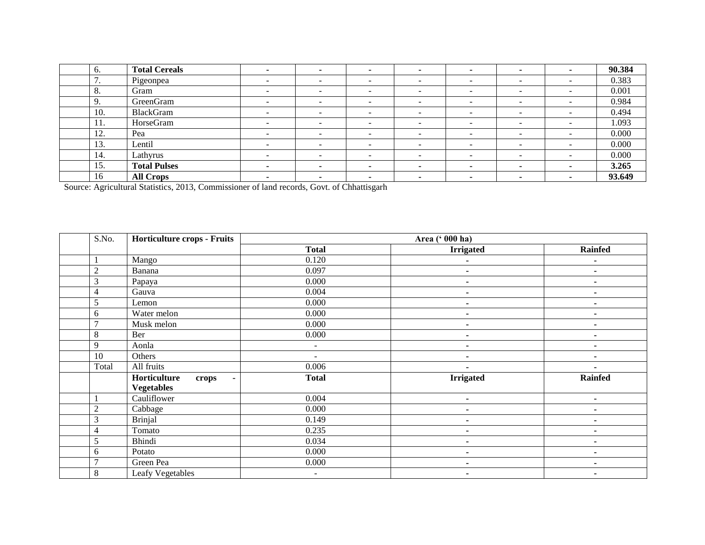| 6.                                        | <b>Total Cereals</b> |                          |                          |                          |                          |                          |   |                          | 90.384 |
|-------------------------------------------|----------------------|--------------------------|--------------------------|--------------------------|--------------------------|--------------------------|---|--------------------------|--------|
| $\mathcal{I}$<br>$\overline{\phantom{a}}$ | Pigeonpea            |                          | $\overline{\phantom{0}}$ | -                        | -                        | $\overline{\phantom{0}}$ |   | $\overline{\phantom{a}}$ | 0.383  |
| -8.                                       | Gram                 | $\overline{\phantom{a}}$ | $\sim$                   | -                        | $\overline{\phantom{a}}$ | $\overline{\phantom{0}}$ |   | $\overline{\phantom{a}}$ | 0.001  |
| 9.                                        | GreenGram            | -                        | -                        | -                        | -                        | $\overline{\phantom{a}}$ | - | -                        | 0.984  |
| 10.                                       | BlackGram            |                          | -                        | $\overline{\phantom{0}}$ |                          | $\overline{\phantom{a}}$ |   |                          | 0.494  |
| 11.                                       | HorseGram            | $\overline{\phantom{0}}$ | $\overline{\phantom{0}}$ | $\overline{\phantom{0}}$ |                          | $\overline{\phantom{0}}$ |   | $\overline{\phantom{a}}$ | 1.093  |
| 12.                                       | Pea                  | <u>_</u>                 | $\overline{\phantom{0}}$ | -                        | $\overline{\phantom{a}}$ | $\overline{\phantom{0}}$ |   | $\overline{\phantom{a}}$ | 0.000  |
| 13.                                       | Lentil               |                          | -                        | -                        |                          | $\overline{\phantom{a}}$ |   |                          | 0.000  |
| 14.                                       | Lathyrus             |                          | -                        | -                        |                          | $\overline{\phantom{0}}$ |   | $\overline{\phantom{a}}$ | 0.000  |
| 15.                                       | <b>Total Pulses</b>  |                          |                          |                          |                          |                          |   |                          | 3.265  |
| 16                                        | <b>All Crops</b>     |                          | $\overline{\phantom{a}}$ |                          |                          |                          |   |                          | 93.649 |

Source: Agricultural Statistics, 2013, Commissioner of land records, Govt. of Chhattisgarh

| S.No.          | <b>Horticulture crops - Fruits</b>      |                | Area (' 000 ha)  |                |
|----------------|-----------------------------------------|----------------|------------------|----------------|
|                |                                         | <b>Total</b>   | <b>Irrigated</b> | <b>Rainfed</b> |
|                | Mango                                   | 0.120          |                  | ٠              |
| $\overline{c}$ | Banana                                  | 0.097          | ۰                | ٠              |
| 3              | Papaya                                  | 0.000          | ۰                |                |
| 4              | Gauva                                   | 0.004          | ۰                | ٠              |
| 5              | Lemon                                   | 0.000          | -                |                |
| 6              | Water melon                             | 0.000          | ٠                | $\blacksquare$ |
| $\mathcal{I}$  | Musk melon                              | 0.000          | $\blacksquare$   |                |
| $\,8\,$        | Ber                                     | 0.000          | ۰                |                |
| 9              | Aonla                                   | $\blacksquare$ | ۰                | $\blacksquare$ |
| 10             | Others                                  | $\blacksquare$ | ۰                | ٠              |
| Total          | All fruits                              | 0.006          |                  |                |
|                | Horticulture<br>crops<br>$\blacksquare$ | <b>Total</b>   | <b>Irrigated</b> | <b>Rainfed</b> |
|                | <b>Vegetables</b>                       |                |                  |                |
|                | Cauliflower                             | 0.004          | ٠                | ۰              |
| $\overline{c}$ | Cabbage                                 | 0.000          | ۰                | ٠              |
| 3              | <b>Brinjal</b>                          | 0.149          | $\blacksquare$   | ۰              |
| 4              | Tomato                                  | 0.235          | ۰                |                |
| 5              | Bhindi                                  | 0.034          | ۰                | ۰              |
| 6              | Potato                                  | 0.000          | ۰                | ۰              |
| $\overline{ }$ | Green Pea                               | 0.000          | $\blacksquare$   | ٠              |
| $\,8\,$        | Leafy Vegetables                        |                |                  |                |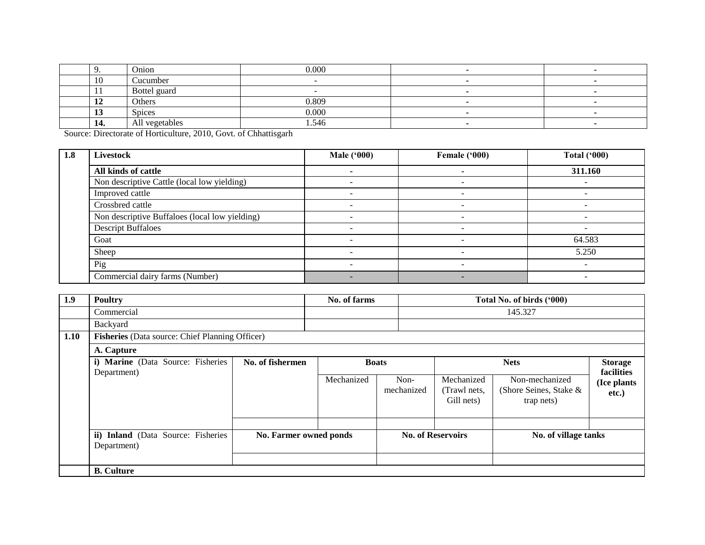|                                | Onion          | 0.000 |  |
|--------------------------------|----------------|-------|--|
| 10                             | Cucumber       |       |  |
|                                | Bottel guard   |       |  |
| <b>I</b>                       | Others         | 0.809 |  |
| $\overline{\phantom{a}}$<br>lν | <b>Spices</b>  | 0.000 |  |
| 14.                            | All vegetables | 1.546 |  |

Source: Directorate of Horticulture, 2010, Govt. of Chhattisgarh

| 1.8 | Livestock                                      | <b>Male ('000)</b> | Female ('000) | <b>Total ('000)</b> |
|-----|------------------------------------------------|--------------------|---------------|---------------------|
|     | All kinds of cattle                            |                    |               | 311.160             |
|     | Non descriptive Cattle (local low yielding)    |                    | $\equiv$      |                     |
|     | Improved cattle                                |                    |               |                     |
|     | Crossbred cattle                               |                    |               |                     |
|     | Non descriptive Buffaloes (local low yielding) |                    |               |                     |
|     | <b>Descript Buffaloes</b>                      |                    |               |                     |
|     | Goat                                           |                    | -             | 64.583              |
|     | Sheep                                          |                    |               | 5.250               |
|     | Pig                                            |                    |               |                     |
|     | Commercial dairy farms (Number)                |                    | -             |                     |

| 1.9  | <b>Poultry</b>                                    |                        | No. of farms |                    | Total No. of birds ('000)                |                                                        |                                       |  |
|------|---------------------------------------------------|------------------------|--------------|--------------------|------------------------------------------|--------------------------------------------------------|---------------------------------------|--|
|      | Commercial                                        |                        |              |                    |                                          | 145.327                                                |                                       |  |
|      | Backyard                                          |                        |              |                    |                                          |                                                        |                                       |  |
| 1.10 | Fisheries (Data source: Chief Planning Officer)   |                        |              |                    |                                          |                                                        |                                       |  |
|      | A. Capture                                        |                        |              |                    |                                          |                                                        |                                       |  |
|      | i) Marine (Data Source: Fisheries                 | No. of fishermen       | <b>Boats</b> |                    |                                          | <b>Nets</b>                                            | <b>Storage</b>                        |  |
|      | Department)                                       |                        | Mechanized   | Non-<br>mechanized | Mechanized<br>(Trawl nets,<br>Gill nets) | Non-mechanized<br>(Shore Seines, Stake &<br>trap nets) | facilities<br>(Ice plants<br>$etc.$ ) |  |
|      | ii) Inland (Data Source: Fisheries<br>Department) | No. Farmer owned ponds |              |                    | <b>No. of Reservoirs</b>                 | No. of village tanks                                   |                                       |  |
|      | <b>B.</b> Culture                                 |                        |              |                    |                                          |                                                        |                                       |  |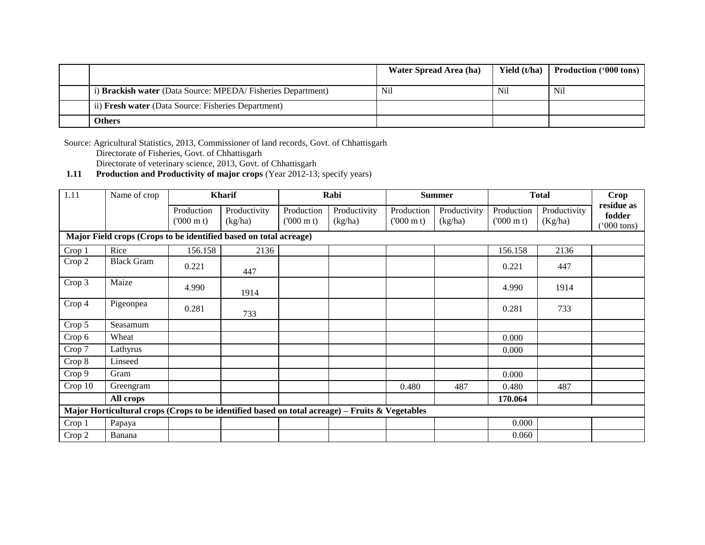|                                                              | Water Spread Area (ha) | Yield (t/ha) | <b>Production ('000 tons)</b> |
|--------------------------------------------------------------|------------------------|--------------|-------------------------------|
| i) Brackish water (Data Source: MPEDA/ Fisheries Department) | Nil                    | Nil          | Nil                           |
| ii) Fresh water (Data Source: Fisheries Department)          |                        |              |                               |
| <b>Others</b>                                                |                        |              |                               |

Source: Agricultural Statistics, 2013, Commissioner of land records, Govt. of Chhattisgarh Directorate of Fisheries, Govt. of Chhattisgarh Directorate of veterinary science, 2013, Govt. of Chhattisgarh

**1.11 Production and Productivity of major crops** (Year 2012-13; specify years)

| 1.11    | Name of crop                                                                                    |                                 | <b>Kharif</b>           |                                 | Rabi                    |                                 | <b>Summer</b>           |                                 | <b>Total</b>            | Crop                                         |
|---------|-------------------------------------------------------------------------------------------------|---------------------------------|-------------------------|---------------------------------|-------------------------|---------------------------------|-------------------------|---------------------------------|-------------------------|----------------------------------------------|
|         |                                                                                                 | Production<br>$(000 \text{ m})$ | Productivity<br>(kg/ha) | Production<br>$(000 \text{ m})$ | Productivity<br>(kg/ha) | Production<br>$(000 \text{ m})$ | Productivity<br>(kg/ha) | Production<br>$(000 \text{ m})$ | Productivity<br>(Kg/ha) | residue as<br>fodder<br>$^{\prime}000$ tons) |
|         | Major Field crops (Crops to be identified based on total acreage)                               |                                 |                         |                                 |                         |                                 |                         |                                 |                         |                                              |
| Crop 1  | Rice                                                                                            | 156.158                         | 2136                    |                                 |                         |                                 |                         | 156.158                         | 2136                    |                                              |
| Crop 2  | <b>Black Gram</b>                                                                               | 0.221                           | 447                     |                                 |                         |                                 |                         | 0.221                           | 447                     |                                              |
| Crop 3  | Maize                                                                                           | 4.990                           | 1914                    |                                 |                         |                                 |                         | 4.990                           | 1914                    |                                              |
| Crop 4  | Pigeonpea                                                                                       | 0.281                           | 733                     |                                 |                         |                                 |                         | 0.281                           | 733                     |                                              |
| Crop 5  | Seasamum                                                                                        |                                 |                         |                                 |                         |                                 |                         |                                 |                         |                                              |
| Crop 6  | Wheat                                                                                           |                                 |                         |                                 |                         |                                 |                         | 0.000                           |                         |                                              |
| Crop 7  | Lathyrus                                                                                        |                                 |                         |                                 |                         |                                 |                         | 0.000                           |                         |                                              |
| Crop 8  | Linseed                                                                                         |                                 |                         |                                 |                         |                                 |                         |                                 |                         |                                              |
| Crop 9  | Gram                                                                                            |                                 |                         |                                 |                         |                                 |                         | 0.000                           |                         |                                              |
| Crop 10 | Greengram                                                                                       |                                 |                         |                                 |                         | 0.480                           | 487                     | 0.480                           | 487                     |                                              |
|         | All crops                                                                                       |                                 |                         |                                 |                         |                                 |                         | 170.064                         |                         |                                              |
|         | Major Horticultural crops (Crops to be identified based on total acreage) – Fruits & Vegetables |                                 |                         |                                 |                         |                                 |                         |                                 |                         |                                              |
| Crop 1  | Papaya                                                                                          |                                 |                         |                                 |                         |                                 |                         | 0.000                           |                         |                                              |
| Crop 2  | Banana                                                                                          |                                 |                         |                                 |                         |                                 |                         | 0.060                           |                         |                                              |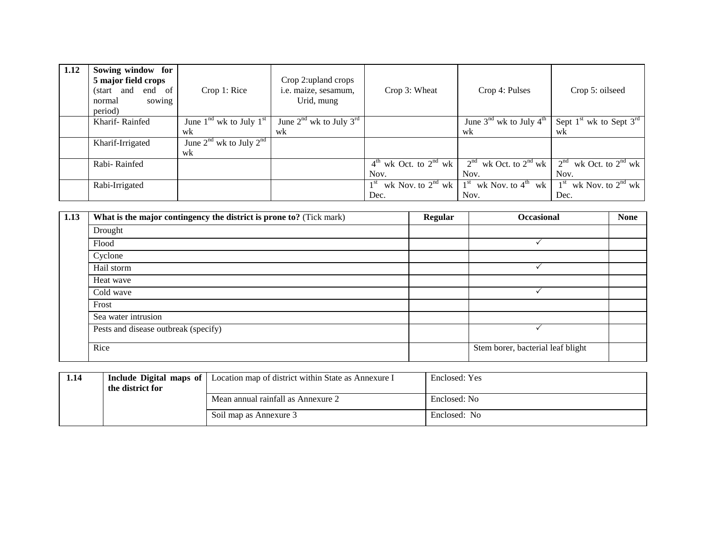| 1.12 | Sowing window for<br>5 major field crops<br>(start and<br>end of<br>normal<br>sowing<br>period) | Crop 1: Rice                      | Crop 2:upland crops<br>i.e. maize, sesamum,<br>Urid, mung | Crop 3: Wheat                                   | Crop 4: Pulses                                  | Crop 5: oilseed                                 |
|------|-------------------------------------------------------------------------------------------------|-----------------------------------|-----------------------------------------------------------|-------------------------------------------------|-------------------------------------------------|-------------------------------------------------|
|      | Kharif-Rainfed                                                                                  | June $1nd$ wk to July $1st$       | June $2^{nd}$ wk to July $3^{rd}$                         |                                                 | June $3^{\text{nd}}$ wk to July $4^{\text{th}}$ | Sept $1^{\text{st}}$ wk to Sept $3^{\text{rd}}$ |
|      |                                                                                                 | wk                                | wk                                                        |                                                 | wk                                              | wk                                              |
|      | Kharif-Irrigated                                                                                | June $2^{nd}$ wk to July $2^{nd}$ |                                                           |                                                 |                                                 |                                                 |
|      |                                                                                                 | wk                                |                                                           |                                                 |                                                 |                                                 |
|      | Rabi-Rainfed                                                                                    |                                   |                                                           | $4^{\text{th}}$ wk Oct. to $2^{\text{nd}}$ wk   | $2nd$ wk Oct. to $2nd$ wk                       | 2 <sup>nd</sup><br>wk Oct. to $2^{nd}$ wk       |
|      |                                                                                                 |                                   |                                                           | Nov.                                            | Nov.                                            | Nov.                                            |
|      | Rabi-Irrigated                                                                                  |                                   |                                                           | wk Nov. to $2^{nd}$ wk $1^{st}$<br>$1^{\rm st}$ | wk Nov. to $4^{\text{th}}$ wk                   | wk Nov. to $2^{nd}$ wk<br>1 <sup>st</sup>       |
|      |                                                                                                 |                                   |                                                           | Dec.                                            | Nov.                                            | Dec.                                            |

| 1.13 | What is the major contingency the district is prone to? (Tick mark) | <b>Regular</b> | <b>Occasional</b>                 | <b>None</b> |
|------|---------------------------------------------------------------------|----------------|-----------------------------------|-------------|
|      | Drought                                                             |                |                                   |             |
|      | Flood                                                               |                |                                   |             |
|      | Cyclone                                                             |                |                                   |             |
|      | Hail storm                                                          |                |                                   |             |
|      | Heat wave                                                           |                |                                   |             |
|      | Cold wave                                                           |                |                                   |             |
|      | Frost                                                               |                |                                   |             |
|      | Sea water intrusion                                                 |                |                                   |             |
|      | Pests and disease outbreak (specify)                                |                |                                   |             |
|      | Rice                                                                |                | Stem borer, bacterial leaf blight |             |

| 1.14 | the district for | <b>Include Digital maps of</b> Location map of district within State as Annexure I | Enclosed: Yes |
|------|------------------|------------------------------------------------------------------------------------|---------------|
|      |                  | Mean annual rainfall as Annexure 2                                                 | Enclosed: No  |
|      |                  | Soil map as Annexure 3                                                             | Enclosed: No  |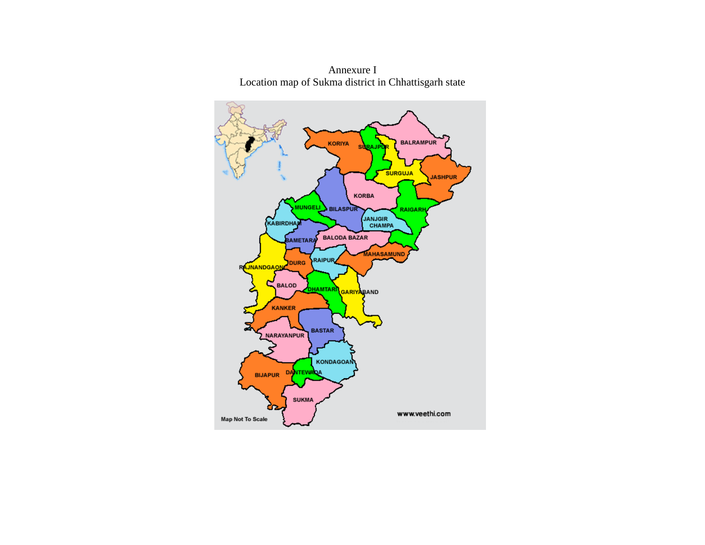

Annexure I Location map of Sukma district in Chhattisgarh state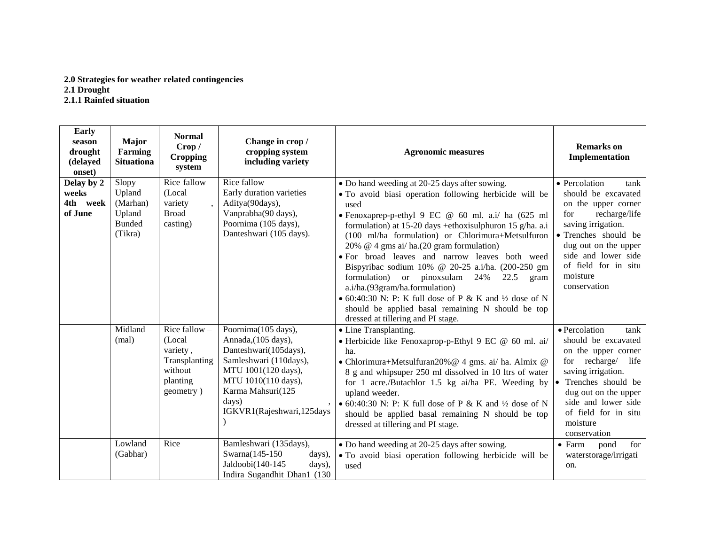## **2.0 Strategies for weather related contingencies 2.1 Drought**

**2.1.1 Rainfed situation** 

| Early<br>season<br>drought<br>(delayed<br>onset) | <b>Major</b><br>Farming<br><b>Situationa</b>                      | <b>Normal</b><br>Crop /<br><b>Cropping</b><br>system                                        | Change in crop /<br>cropping system<br>including variety                                                                                                                                                | <b>Agronomic measures</b>                                                                                                                                                                                                                                                                                                                                                                                                                                                                                                                                                                                                                                                                           | <b>Remarks</b> on<br>Implementation                                                                                                                                                                                                          |
|--------------------------------------------------|-------------------------------------------------------------------|---------------------------------------------------------------------------------------------|---------------------------------------------------------------------------------------------------------------------------------------------------------------------------------------------------------|-----------------------------------------------------------------------------------------------------------------------------------------------------------------------------------------------------------------------------------------------------------------------------------------------------------------------------------------------------------------------------------------------------------------------------------------------------------------------------------------------------------------------------------------------------------------------------------------------------------------------------------------------------------------------------------------------------|----------------------------------------------------------------------------------------------------------------------------------------------------------------------------------------------------------------------------------------------|
| Delay by 2<br>weeks<br>4th week<br>of June       | Slopy<br>Upland<br>(Marhan)<br>Upland<br><b>Bunded</b><br>(Tikra) | Rice fallow $-$<br>(Local<br>variety<br><b>Broad</b><br>casting)                            | Rice fallow<br>Early duration varieties<br>Aditya(90days),<br>Vanprabha(90 days),<br>Poornima (105 days),<br>Danteshwari (105 days).                                                                    | • Do hand weeding at 20-25 days after sowing.<br>• To avoid biasi operation following herbicide will be<br>used<br>• Fenoxaprep-p-ethyl 9 EC @ 60 ml. a.i/ ha (625 ml<br>formulation) at 15-20 days +ethoxisulphuron 15 g/ha. a.i<br>(100 ml/ha formulation) or Chlorimura+Metsulfuron<br>20% @ 4 gms ai/ ha.(20 gram formulation)<br>• For broad leaves and narrow leaves both weed<br>Bispyribac sodium 10% @ 20-25 a.i/ha. (200-250 gm<br>formulation)<br>or pinoxsulam<br>24%<br>22.5<br>gram<br>a.i/ha.(93gram/ha.formulation)<br>• 60:40:30 N: P: K full dose of P & K and $\frac{1}{2}$ dose of N<br>should be applied basal remaining N should be top<br>dressed at tillering and PI stage. | • Percolation<br>tank<br>should be excavated<br>on the upper corner<br>recharge/life<br>for<br>saving irrigation.<br>· Trenches should be<br>dug out on the upper<br>side and lower side<br>of field for in situ<br>moisture<br>conservation |
|                                                  | Midland<br>(mal)                                                  | Rice fallow $-$<br>(Local)<br>variety,<br>Transplanting<br>without<br>planting<br>geometry) | Poornima(105 days),<br>Annada, (105 days),<br>Danteshwari(105days),<br>Samleshwari (110days),<br>MTU 1001(120 days),<br>MTU 1010(110 days),<br>Karma Mahsuri(125<br>days)<br>IGKVR1(Rajeshwari, 125days | • Line Transplanting.<br>• Herbicide like Fenoxaprop-p-Ethyl 9 EC @ 60 ml. ai/<br>ha.<br>· Chlorimura+Metsulfuran20% @ 4 gms. ai/ ha. Almix @<br>8 g and whipsuper 250 ml dissolved in 10 ltrs of water<br>for 1 acre./Butachlor 1.5 kg ai/ha PE. Weeding by<br>upland weeder.<br>• 60:40:30 N: P: K full dose of P & K and $\frac{1}{2}$ dose of N<br>should be applied basal remaining N should be top<br>dressed at tillering and PI stage.                                                                                                                                                                                                                                                      | · Percolation<br>tank<br>should be excavated<br>on the upper corner<br>for recharge/ life<br>saving irrigation.<br>Trenches should be<br>dug out on the upper<br>side and lower side<br>of field for in situ<br>moisture<br>conservation     |
|                                                  | Lowland<br>(Gabhar)                                               | Rice                                                                                        | Bamleshwari (135days),<br>Swarna(145-150)<br>days),<br>Jaldoobi(140-145<br>days),<br>Indira Sugandhit Dhan1 (130                                                                                        | • Do hand weeding at 20-25 days after sowing.<br>• To avoid biasi operation following herbicide will be<br>used                                                                                                                                                                                                                                                                                                                                                                                                                                                                                                                                                                                     | $\bullet$ Farm<br>pond<br>for<br>waterstorage/irrigati<br>on.                                                                                                                                                                                |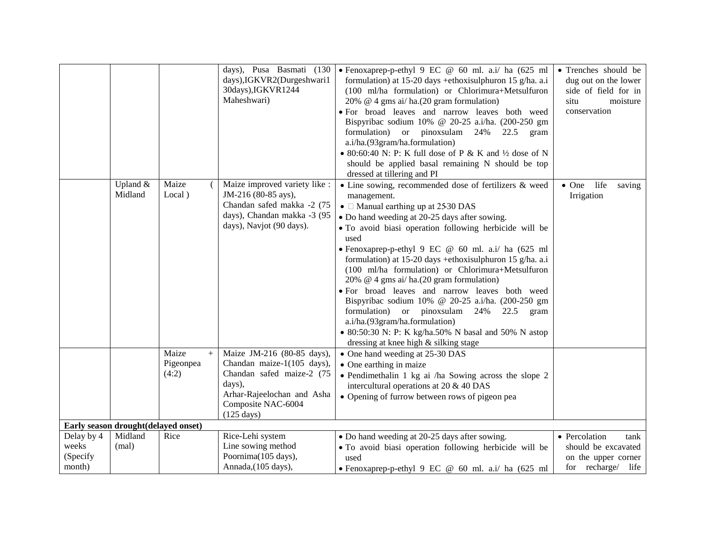|                                           |                     |                                       | days),IGKVR2(Durgeshwari1<br>30days), IGKVR1244<br>Maheshwari)                                                                                | days), Pusa Basmati (130   Fenoxaprep-p-ethyl 9 EC @ 60 ml. a.i/ ha (625 ml<br>formulation) at 15-20 days +ethoxisulphuron 15 g/ha. a.i<br>(100 ml/ha formulation) or Chlorimura+Metsulfuron<br>20% $@$ 4 gms ai/ ha. (20 gram formulation)<br>· For broad leaves and narrow leaves both weed<br>Bispyribac sodium 10% @ 20-25 a.i/ha. (200-250 gm<br>formulation) or pinoxsulam 24%<br>22.5<br>gram<br>a.i/ha.(93gram/ha.formulation)<br>• 80:60:40 N: P: K full dose of P & K and $\frac{1}{2}$ dose of N<br>should be applied basal remaining N should be top<br>dressed at tillering and PI                                                                                                                                                      | • Trenches should be<br>dug out on the lower<br>side of field for in<br>situ<br>moisture<br>conservation |
|-------------------------------------------|---------------------|---------------------------------------|-----------------------------------------------------------------------------------------------------------------------------------------------|------------------------------------------------------------------------------------------------------------------------------------------------------------------------------------------------------------------------------------------------------------------------------------------------------------------------------------------------------------------------------------------------------------------------------------------------------------------------------------------------------------------------------------------------------------------------------------------------------------------------------------------------------------------------------------------------------------------------------------------------------|----------------------------------------------------------------------------------------------------------|
|                                           | Upland &<br>Midland | Maize<br>Local)                       | Maize improved variety like :<br>JM-216 (80-85 ays),<br>Chandan safed makka -2 (75<br>days), Chandan makka -3 (95<br>days), Navjot (90 days). | • Line sowing, recommended dose of fertilizers & weed<br>management.<br>• $\Box$ Manual earthing up at 2530 DAS<br>• Do hand weeding at 20-25 days after sowing.<br>· To avoid biasi operation following herbicide will be<br>used<br>• Fenoxaprep-p-ethyl 9 EC @ 60 ml. a.i/ ha (625 ml<br>formulation) at 15-20 days +ethoxisulphuron 15 g/ha. a.i<br>(100 ml/ha formulation) or Chlorimura+Metsulfuron<br>20% $@$ 4 gms ai/ ha. (20 gram formulation)<br>· For broad leaves and narrow leaves both weed<br>Bispyribac sodium 10% @ 20-25 a.i/ha. (200-250 gm<br>formulation) or pinoxsulam 24%<br>22.5<br>gram<br>a.i/ha.(93gram/ha.formulation)<br>• 80:50:30 N: P: K kg/ha.50% N basal and 50% N astop<br>dressing at knee high & silking stage | $\bullet$ One<br>life<br>saving<br>Irrigation                                                            |
|                                           |                     | Maize<br>$\, +$<br>Pigeonpea<br>(4:2) | Maize JM-216 (80-85 days),<br>Chandan maize-1(105 days),<br>Chandan safed maize-2 (75                                                         | • One hand weeding at 25-30 DAS<br>• One earthing in maize<br>• Pendimethalin 1 kg ai /ha Sowing across the slope 2                                                                                                                                                                                                                                                                                                                                                                                                                                                                                                                                                                                                                                  |                                                                                                          |
|                                           |                     |                                       | days),<br>Arhar-Rajeelochan and Asha<br>Composite NAC-6004<br>$(125 \text{ days})$                                                            | intercultural operations at 20 & 40 DAS<br>• Opening of furrow between rows of pigeon pea                                                                                                                                                                                                                                                                                                                                                                                                                                                                                                                                                                                                                                                            |                                                                                                          |
| Early season drought(delayed onset)       |                     |                                       |                                                                                                                                               |                                                                                                                                                                                                                                                                                                                                                                                                                                                                                                                                                                                                                                                                                                                                                      |                                                                                                          |
| Delay by 4<br>weeks<br>(Specify<br>month) | Midland<br>(mal)    | Rice                                  | Rice-Lehi system<br>Line sowing method<br>Poornima(105 days),<br>Annada, (105 days),                                                          | • Do hand weeding at 20-25 days after sowing.<br>• To avoid biasi operation following herbicide will be<br>used<br>• Fenoxaprep-p-ethyl 9 EC @ 60 ml. a.i/ ha (625 ml                                                                                                                                                                                                                                                                                                                                                                                                                                                                                                                                                                                | • Percolation<br>tank<br>should be excavated<br>on the upper corner<br>for recharge/ life                |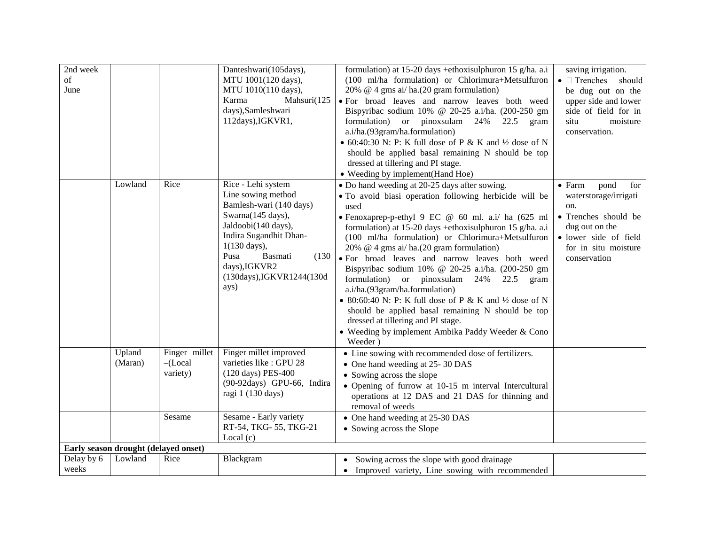| 2nd week   |                                      |               | Danteshwari(105days),      | formulation) at 15-20 days +ethoxisulphuron 15 g/ha. a.i          | saving irrigation.            |
|------------|--------------------------------------|---------------|----------------------------|-------------------------------------------------------------------|-------------------------------|
| of         |                                      |               | MTU 1001(120 days),        | (100 ml/ha formulation) or Chlorimura+Metsulfuron                 | • Trenches should             |
| June       |                                      |               | MTU 1010(110 days),        | 20% @ 4 gms ai/ ha.(20 gram formulation)                          | be dug out on the             |
|            |                                      |               | Mahsuri(125<br>Karma       | · For broad leaves and narrow leaves both weed                    | upper side and lower          |
|            |                                      |               | days), Samleshwari         | Bispyribac sodium 10% @ 20-25 a.i/ha. (200-250 gm                 | side of field for in          |
|            |                                      |               | 112days), IGKVR1,          | formulation) or pinoxsulam 24%<br>22.5<br>gram                    | situ<br>moisture              |
|            |                                      |               |                            | a.i/ha.(93gram/ha.formulation)                                    | conservation.                 |
|            |                                      |               |                            |                                                                   |                               |
|            |                                      |               |                            | • 60:40:30 N: P: K full dose of P & K and $\frac{1}{2}$ dose of N |                               |
|            |                                      |               |                            | should be applied basal remaining N should be top                 |                               |
|            |                                      |               |                            | dressed at tillering and PI stage.                                |                               |
|            |                                      |               |                            | • Weeding by implement (Hand Hoe)                                 |                               |
|            | Lowland                              | Rice          | Rice - Lehi system         | • Do hand weeding at 20-25 days after sowing.                     | $\bullet$ Farm<br>pond<br>for |
|            |                                      |               | Line sowing method         | • To avoid biasi operation following herbicide will be            | waterstorage/irrigati         |
|            |                                      |               | Bamlesh-wari (140 days)    | used                                                              | on.                           |
|            |                                      |               | Swarna(145 days),          | • Fenoxaprep-p-ethyl 9 EC @ 60 ml. a.i/ ha (625 ml                | • Trenches should be          |
|            |                                      |               | Jaldoobi(140 days),        | formulation) at 15-20 days +ethoxisulphuron 15 g/ha. a.i          | dug out on the                |
|            |                                      |               | Indira Sugandhit Dhan-     | (100 ml/ha formulation) or Chlorimura+Metsulfuron                 | · lower side of field         |
|            |                                      |               | $1(130 \text{ days})$ ,    | 20% @ 4 gms ai/ ha.(20 gram formulation)                          | for in situ moisture          |
|            |                                      |               | Pusa<br>Basmati<br>(130)   | · For broad leaves and narrow leaves both weed                    | conservation                  |
|            |                                      |               | days), IGKVR2              | Bispyribac sodium 10% @ 20-25 a.i/ha. (200-250 gm                 |                               |
|            |                                      |               | (130days), IGKVR1244(130d  | formulation) or pinoxsulam 24%<br>$22.5$ gram                     |                               |
|            |                                      |               | ays)                       | a.i/ha.(93gram/ha.formulation)                                    |                               |
|            |                                      |               |                            | • 80:60:40 N: P: K full dose of P & K and $\frac{1}{2}$ dose of N |                               |
|            |                                      |               |                            | should be applied basal remaining N should be top                 |                               |
|            |                                      |               |                            | dressed at tillering and PI stage.                                |                               |
|            |                                      |               |                            | • Weeding by implement Ambika Paddy Weeder & Cono                 |                               |
|            |                                      |               |                            | Weeder)                                                           |                               |
|            | Upland                               | Finger millet | Finger millet improved     | • Line sowing with recommended dose of fertilizers.               |                               |
|            | (Maran)                              | $-$ (Local    | varieties like : GPU 28    | • One hand weeding at 25-30 DAS                                   |                               |
|            |                                      | variety)      | (120 days) PES-400         | • Sowing across the slope                                         |                               |
|            |                                      |               | (90-92days) GPU-66, Indira | • Opening of furrow at 10-15 m interval Intercultural             |                               |
|            |                                      |               | ragi 1 (130 days)          | operations at 12 DAS and 21 DAS for thinning and                  |                               |
|            |                                      |               |                            | removal of weeds                                                  |                               |
|            |                                      | Sesame        | Sesame - Early variety     | • One hand weeding at 25-30 DAS                                   |                               |
|            |                                      |               | RT-54, TKG-55, TKG-21      | • Sowing across the Slope                                         |                               |
|            |                                      |               | Local $(c)$                |                                                                   |                               |
|            | Early season drought (delayed onset) |               |                            |                                                                   |                               |
| Delay by 6 | Lowland                              | Rice          | Blackgram                  | Sowing across the slope with good drainage                        |                               |
| weeks      |                                      |               |                            | • Improved variety, Line sowing with recommended                  |                               |
|            |                                      |               |                            |                                                                   |                               |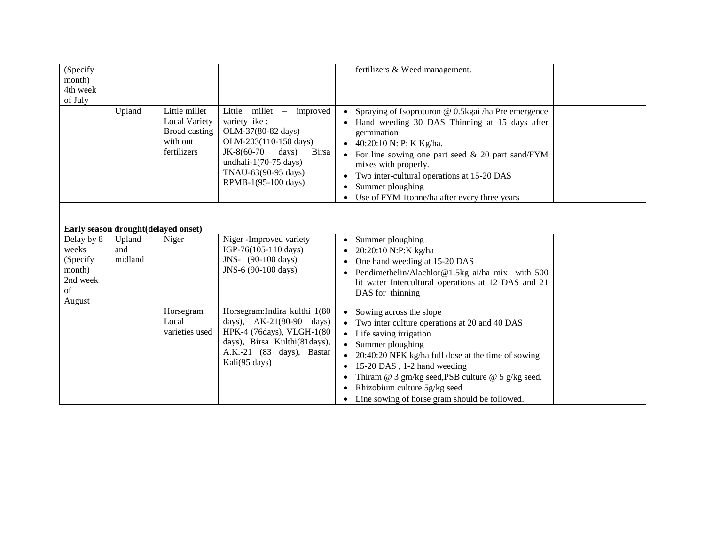| (Specify                                                     |                                     |                                                                                   |                                                                                                                                                                                                            | fertilizers & Weed management.                                                                                                                                                                                                                                                                                                                                              |  |
|--------------------------------------------------------------|-------------------------------------|-----------------------------------------------------------------------------------|------------------------------------------------------------------------------------------------------------------------------------------------------------------------------------------------------------|-----------------------------------------------------------------------------------------------------------------------------------------------------------------------------------------------------------------------------------------------------------------------------------------------------------------------------------------------------------------------------|--|
| month)                                                       |                                     |                                                                                   |                                                                                                                                                                                                            |                                                                                                                                                                                                                                                                                                                                                                             |  |
| 4th week                                                     |                                     |                                                                                   |                                                                                                                                                                                                            |                                                                                                                                                                                                                                                                                                                                                                             |  |
| of July                                                      |                                     |                                                                                   |                                                                                                                                                                                                            |                                                                                                                                                                                                                                                                                                                                                                             |  |
|                                                              | Upland                              | Little millet<br><b>Local Variety</b><br>Broad casting<br>with out<br>fertilizers | Little<br>millet – improved<br>variety like :<br>OLM-37(80-82 days)<br>OLM-203(110-150 days)<br>JK-8(60-70<br>days)<br><b>Birsa</b><br>undhali-1(70-75 days)<br>TNAU-63(90-95 days)<br>RPMB-1(95-100 days) | Spraying of Isoproturon @ 0.5kgai /ha Pre emergence<br>Hand weeding 30 DAS Thinning at 15 days after<br>germination<br>40:20:10 N: P: K Kg/ha.<br>For line sowing one part seed $\&$ 20 part sand/FYM<br>mixes with properly.<br>Two inter-cultural operations at 15-20 DAS<br>Summer ploughing<br>Use of FYM 1tonne/ha after every three years                             |  |
|                                                              |                                     |                                                                                   |                                                                                                                                                                                                            |                                                                                                                                                                                                                                                                                                                                                                             |  |
|                                                              | Early season drought(delayed onset) |                                                                                   |                                                                                                                                                                                                            |                                                                                                                                                                                                                                                                                                                                                                             |  |
| Delay by 8<br>weeks<br>(Specify)<br>month)<br>2nd week<br>of | Upland<br>and<br>midland            | Niger                                                                             | Niger-Improved variety<br>IGP-76(105-110 days)<br>JNS-1 (90-100 days)<br>JNS-6 (90-100 days)                                                                                                               | Summer ploughing<br>$\bullet$<br>20:20:10 N:P:K kg/ha<br>One hand weeding at 15-20 DAS<br>Pendimethelin/Alachlor@1.5kg ai/ha mix with 500<br>lit water Intercultural operations at 12 DAS and 21<br>DAS for thinning                                                                                                                                                        |  |
| August                                                       |                                     | Horsegram<br>Local<br>varieties used                                              | Horsegram: Indira kulthi 1(80<br>days), AK-21(80-90 days)<br>HPK-4 (76days), VLGH-1(80<br>days), Birsa Kulthi(81days),<br>A.K.-21 (83 days), Bastar<br>Kali(95 days)                                       | Sowing across the slope<br>$\bullet$<br>Two inter culture operations at 20 and 40 DAS<br>Life saving irrigation<br>$\bullet$<br>Summer ploughing<br>20:40:20 NPK kg/ha full dose at the time of sowing<br>15-20 DAS, 1-2 hand weeding<br>Thiram @ 3 gm/kg seed, PSB culture @ 5 g/kg seed.<br>Rhizobium culture 5g/kg seed<br>Line sowing of horse gram should be followed. |  |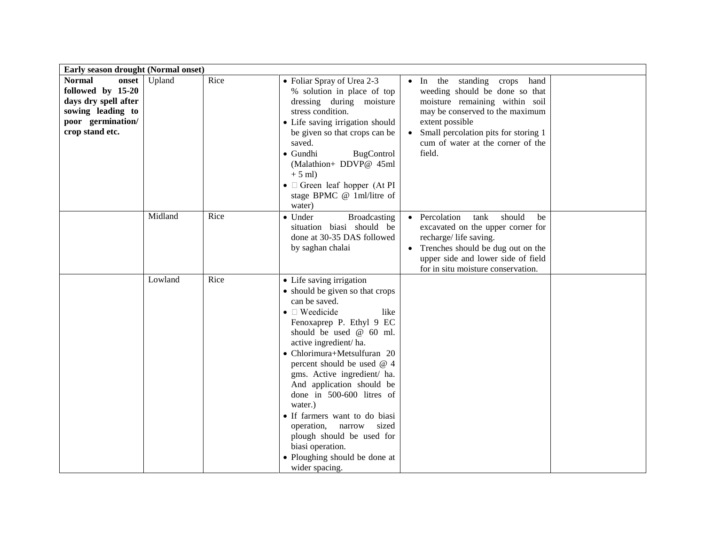| Early season drought (Normal onset)                                                                                              |         |      |                                                                                                                                                                                                                                                                                                                                                                                                                                                                                                                                               |                                                                                                                                                                                                                                                                          |  |
|----------------------------------------------------------------------------------------------------------------------------------|---------|------|-----------------------------------------------------------------------------------------------------------------------------------------------------------------------------------------------------------------------------------------------------------------------------------------------------------------------------------------------------------------------------------------------------------------------------------------------------------------------------------------------------------------------------------------------|--------------------------------------------------------------------------------------------------------------------------------------------------------------------------------------------------------------------------------------------------------------------------|--|
| <b>Normal</b><br>onset<br>followed by 15-20<br>days dry spell after<br>sowing leading to<br>poor germination/<br>crop stand etc. | Upland  | Rice | • Foliar Spray of Urea 2-3<br>% solution in place of top<br>dressing during moisture<br>stress condition.<br>· Life saving irrigation should<br>be given so that crops can be<br>saved.<br>BugControl<br>$\bullet$ Gundhi<br>(Malathion+ DDVP@ 45ml<br>$+5$ ml)<br>$\bullet$ $\Box$ Green leaf hopper (At PI<br>stage BPMC @ 1ml/litre of<br>water)                                                                                                                                                                                           | In the standing crops<br>hand<br>$\bullet$<br>weeding should be done so that<br>moisture remaining within soil<br>may be conserved to the maximum<br>extent possible<br>Small percolation pits for storing 1<br>$\bullet$<br>cum of water at the corner of the<br>field. |  |
|                                                                                                                                  | Midland | Rice | • Under<br><b>Broadcasting</b><br>situation biasi should be<br>done at 30-35 DAS followed<br>by saghan chalai                                                                                                                                                                                                                                                                                                                                                                                                                                 | Percolation<br>tank<br>should<br>be<br>excavated on the upper corner for<br>recharge/life saving.<br>Trenches should be dug out on the<br>upper side and lower side of field<br>for in situ moisture conservation.                                                       |  |
|                                                                                                                                  | Lowland | Rice | • Life saving irrigation<br>• should be given so that crops<br>can be saved.<br>$\bullet$ $\square$ Weedicide<br>like<br>Fenoxaprep P. Ethyl 9 EC<br>should be used $@60$ ml.<br>active ingredient/ha.<br>• Chlorimura+Metsulfuran 20<br>percent should be used @ 4<br>gms. Active ingredient/ ha.<br>And application should be<br>done in 500-600 litres of<br>water.)<br>· If farmers want to do biasi<br>operation,<br>narrow<br>sized<br>plough should be used for<br>biasi operation.<br>• Ploughing should be done at<br>wider spacing. |                                                                                                                                                                                                                                                                          |  |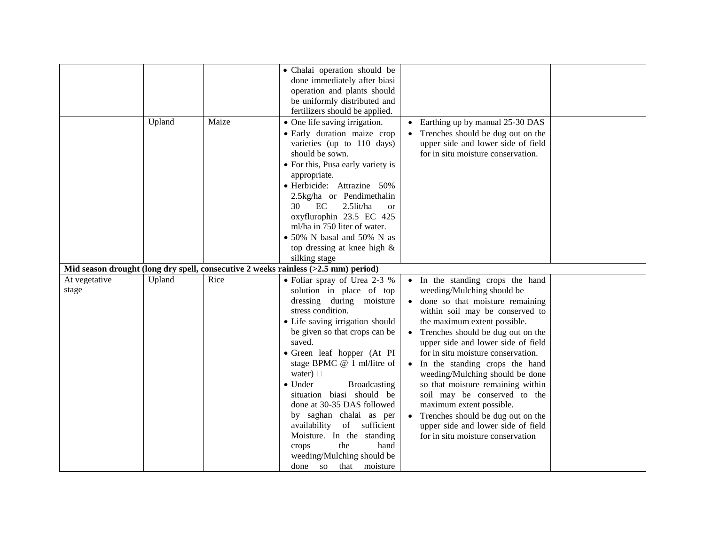|               |        |       | • Chalai operation should be                                                       |                                    |  |
|---------------|--------|-------|------------------------------------------------------------------------------------|------------------------------------|--|
|               |        |       | done immediately after biasi                                                       |                                    |  |
|               |        |       | operation and plants should                                                        |                                    |  |
|               |        |       | be uniformly distributed and                                                       |                                    |  |
|               |        |       | fertilizers should be applied.                                                     |                                    |  |
|               | Upland | Maize | • One life saving irrigation.                                                      | Earthing up by manual 25-30 DAS    |  |
|               |        |       | • Early duration maize crop                                                        | Trenches should be dug out on the  |  |
|               |        |       | varieties (up to 110 days)                                                         | upper side and lower side of field |  |
|               |        |       | should be sown.                                                                    | for in situ moisture conservation. |  |
|               |        |       | • For this, Pusa early variety is                                                  |                                    |  |
|               |        |       | appropriate.                                                                       |                                    |  |
|               |        |       | · Herbicide: Attrazine 50%                                                         |                                    |  |
|               |        |       | 2.5kg/ha or Pendimethalin                                                          |                                    |  |
|               |        |       | EC<br>2.5lit/ha<br>30<br><b>or</b>                                                 |                                    |  |
|               |        |       | oxyflurophin 23.5 EC 425                                                           |                                    |  |
|               |        |       | ml/ha in 750 liter of water.                                                       |                                    |  |
|               |        |       | • 50% N basal and 50% N as                                                         |                                    |  |
|               |        |       | top dressing at knee high &                                                        |                                    |  |
|               |        |       | silking stage                                                                      |                                    |  |
|               |        |       | Mid season drought (long dry spell, consecutive 2 weeks rainless (>2.5 mm) period) |                                    |  |
| At vegetative | Upland | Rice  | • Foliar spray of Urea 2-3 %                                                       | • In the standing crops the hand   |  |
| stage         |        |       | solution in place of top                                                           | weeding/Mulching should be         |  |
|               |        |       | dressing during moisture                                                           | • done so that moisture remaining  |  |
|               |        |       | stress condition.                                                                  | within soil may be conserved to    |  |
|               |        |       | • Life saving irrigation should                                                    | the maximum extent possible.       |  |
|               |        |       | be given so that crops can be                                                      | Trenches should be dug out on the  |  |
|               |        |       | saved.                                                                             | upper side and lower side of field |  |
|               |        |       | • Green leaf hopper (At PI                                                         | for in situ moisture conservation. |  |
|               |        |       | stage BPMC @ 1 ml/litre of                                                         | In the standing crops the hand     |  |
|               |        |       | water) $\Box$                                                                      | weeding/Mulching should be done    |  |
|               |        |       | <b>Broadcasting</b><br>$\bullet$ Under                                             | so that moisture remaining within  |  |
|               |        |       | situation biasi should be                                                          | soil may be conserved to the       |  |
|               |        |       | done at 30-35 DAS followed                                                         | maximum extent possible.           |  |
|               |        |       | by saghan chalai as per                                                            | Trenches should be dug out on the  |  |
|               |        |       | availability<br>of sufficient                                                      | upper side and lower side of field |  |
|               |        |       | Moisture. In the standing                                                          | for in situ moisture conservation  |  |
|               |        |       | the<br>hand<br>crops                                                               |                                    |  |
|               |        |       | weeding/Mulching should be                                                         |                                    |  |
|               |        |       |                                                                                    |                                    |  |
|               |        |       | that moisture<br>done so                                                           |                                    |  |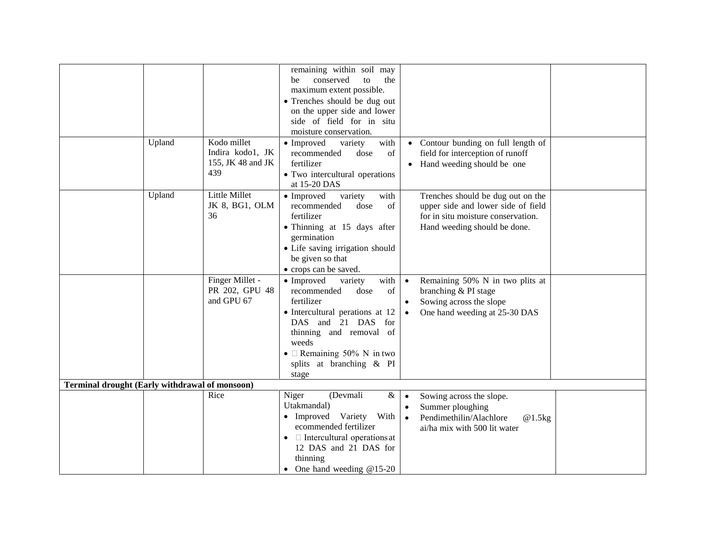|                                                       |        |                   | remaining within soil may                    |                                                |  |  |  |  |
|-------------------------------------------------------|--------|-------------------|----------------------------------------------|------------------------------------------------|--|--|--|--|
|                                                       |        |                   | conserved<br>to<br>be<br>the                 |                                                |  |  |  |  |
|                                                       |        |                   | maximum extent possible.                     |                                                |  |  |  |  |
|                                                       |        |                   | • Trenches should be dug out                 |                                                |  |  |  |  |
|                                                       |        |                   | on the upper side and lower                  |                                                |  |  |  |  |
|                                                       |        |                   | side of field for in situ                    |                                                |  |  |  |  |
|                                                       |        |                   | moisture conservation.                       |                                                |  |  |  |  |
|                                                       | Upland | Kodo millet       | • Improved<br>variety<br>with                | • Contour bunding on full length of            |  |  |  |  |
|                                                       |        | Indira kodo1, JK  | of<br>recommended<br>dose                    | field for interception of runoff               |  |  |  |  |
|                                                       |        | 155, JK 48 and JK | fertilizer                                   | • Hand weeding should be one                   |  |  |  |  |
|                                                       |        | 439               | • Two intercultural operations               |                                                |  |  |  |  |
|                                                       |        |                   | at 15-20 DAS                                 |                                                |  |  |  |  |
|                                                       | Upland | Little Millet     | variety<br>• Improved<br>with                | Trenches should be dug out on the              |  |  |  |  |
|                                                       |        | JK 8, BG1, OLM    | recommended<br>of<br>dose                    | upper side and lower side of field             |  |  |  |  |
|                                                       |        | 36                | fertilizer                                   | for in situ moisture conservation.             |  |  |  |  |
|                                                       |        |                   | · Thinning at 15 days after<br>germination   | Hand weeding should be done.                   |  |  |  |  |
|                                                       |        |                   | · Life saving irrigation should              |                                                |  |  |  |  |
|                                                       |        |                   | be given so that                             |                                                |  |  |  |  |
|                                                       |        |                   | • crops can be saved.                        |                                                |  |  |  |  |
|                                                       |        | Finger Millet -   | • Improved<br>with<br>variety                | Remaining 50% N in two plits at<br>$\bullet$   |  |  |  |  |
|                                                       |        | PR 202, GPU 48    | of<br>recommended<br>dose                    | branching & PI stage                           |  |  |  |  |
|                                                       |        | and GPU 67        | fertilizer                                   | Sowing across the slope<br>$\bullet$           |  |  |  |  |
|                                                       |        |                   | • Intercultural perations at 12              | One hand weeding at 25-30 DAS<br>$\bullet$     |  |  |  |  |
|                                                       |        |                   | DAS and 21 DAS<br>for                        |                                                |  |  |  |  |
|                                                       |        |                   | thinning and removal of                      |                                                |  |  |  |  |
|                                                       |        |                   | weeds                                        |                                                |  |  |  |  |
|                                                       |        |                   | • $\Box$ Remaining 50% N in two              |                                                |  |  |  |  |
|                                                       |        |                   | splits at branching & PI                     |                                                |  |  |  |  |
|                                                       |        |                   | stage                                        |                                                |  |  |  |  |
| <b>Terminal drought (Early withdrawal of monsoon)</b> |        |                   |                                              |                                                |  |  |  |  |
|                                                       |        | Rice              | $\&$<br>Niger<br>(Devmali                    | Sowing across the slope.                       |  |  |  |  |
|                                                       |        |                   | Utakmandal)                                  | Summer ploughing<br>$\bullet$                  |  |  |  |  |
|                                                       |        |                   | • Improved Variety<br>With                   | Pendimethilin/Alachlore<br>@1.5kg<br>$\bullet$ |  |  |  |  |
|                                                       |        |                   | ecommended fertilizer                        | ai/ha mix with 500 lit water                   |  |  |  |  |
|                                                       |        |                   | $\bullet$ $\Box$ Intercultural operations at |                                                |  |  |  |  |
|                                                       |        |                   | 12 DAS and 21 DAS for                        |                                                |  |  |  |  |
|                                                       |        |                   | thinning                                     |                                                |  |  |  |  |
|                                                       |        |                   | • One hand weeding $@15-20$                  |                                                |  |  |  |  |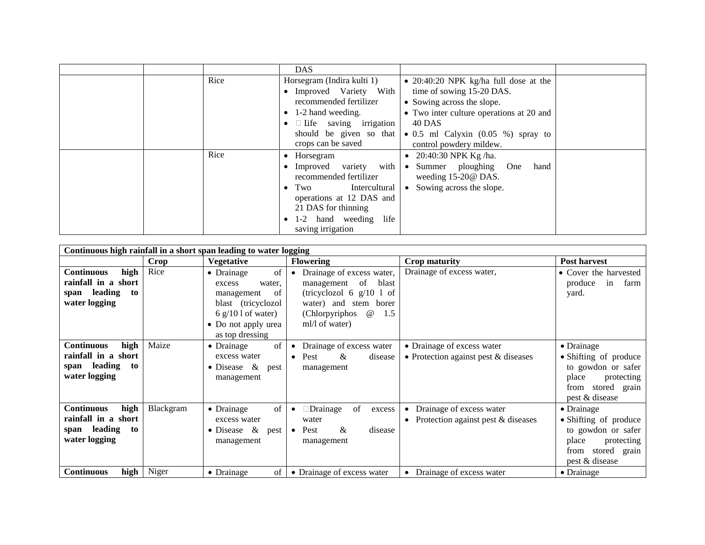|  |      | DAS.                                                                                                                                                                                                         |                                                                                                                                                                                                                                                           |  |
|--|------|--------------------------------------------------------------------------------------------------------------------------------------------------------------------------------------------------------------|-----------------------------------------------------------------------------------------------------------------------------------------------------------------------------------------------------------------------------------------------------------|--|
|  | Rice | Horsegram (Indira kulti 1)<br>• Improved Variety With<br>recommended fertilizer<br>1-2 hand weeding.<br>$\Box$ Life saving irrigation<br>crops can be saved                                                  | • $20:40:20$ NPK kg/ha full dose at the<br>time of sowing 15-20 DAS.<br>• Sowing across the slope.<br>• Two inter culture operations at 20 and<br>40 DAS<br>should be given so that $\bullet$ 0.5 ml Calyxin (0.05 %) spray to<br>control powdery mildew. |  |
|  | Rice | $\bullet$ Horsegram<br>Improved variety with<br>recommended fertilizer<br>$\bullet$ Two<br>Intercultural<br>operations at 12 DAS and<br>21 DAS for thinning<br>life<br>1-2 hand weeding<br>saving irrigation | 20:40:30 NPK Kg/ha.<br>$\bullet$<br>• Summer ploughing<br>One<br>hand<br>weeding 15-20@ DAS.<br>Sowing across the slope.<br>$\bullet$                                                                                                                     |  |

| Continuous high rainfall in a short span leading to water logging                       |           |                                                                                                                                                 |                                                                                                                                                                             |                                                                      |                                                                                                                                    |  |
|-----------------------------------------------------------------------------------------|-----------|-------------------------------------------------------------------------------------------------------------------------------------------------|-----------------------------------------------------------------------------------------------------------------------------------------------------------------------------|----------------------------------------------------------------------|------------------------------------------------------------------------------------------------------------------------------------|--|
|                                                                                         | Crop      | <b>Vegetative</b>                                                                                                                               | <b>Flowering</b>                                                                                                                                                            | Crop maturity                                                        | <b>Post harvest</b>                                                                                                                |  |
| high<br><b>Continuous</b><br>rainfall in a short<br>span leading<br>to<br>water logging | Rice      | of<br>• Drainage<br>water,<br>excess<br>of<br>management<br>blast (tricyclozol<br>6 $g/101$ of water)<br>• Do not apply urea<br>as top dressing | Drainage of excess water,<br>of blast<br>management<br>(tricyclozol 6 $g/10$ 1 of<br>water) and stem borer<br>(Chlorpyriphos)<br>$^{\, \circledR}$<br>1.5<br>ml/l of water) | Drainage of excess water,                                            | • Cover the harvested<br>produce<br>in<br>farm<br>yard.                                                                            |  |
| <b>Continuous</b><br>high<br>rainfall in a short<br>span leading<br>to<br>water logging | Maize     | of<br>$\bullet$ Drainage<br>excess water<br>• Disease $\&$<br>pest<br>management                                                                | Drainage of excess water<br>Pest<br>&<br>disease<br>$\bullet$<br>management                                                                                                 | • Drainage of excess water<br>• Protection against pest $&$ diseases | $\bullet$ Drainage<br>• Shifting of produce<br>to gowdon or safer<br>place<br>protecting<br>stored grain<br>from<br>pest & disease |  |
| high<br><b>Continuous</b><br>rainfall in a short<br>span leading<br>to<br>water logging | Blackgram | of<br>• Drainage<br>excess water<br>• Disease $\&$<br>pest<br>management                                                                        | of<br>□Drainage<br>excess<br>water<br>$\&$<br>disease<br>Pest<br>$\bullet$<br>management                                                                                    | • Drainage of excess water<br>• Protection against pest $&$ diseases | • Drainage<br>• Shifting of produce<br>to gowdon or safer<br>place<br>protecting<br>stored grain<br>from<br>pest & disease         |  |
| high<br><b>Continuous</b>                                                               | Niger     | • Drainage<br>of <sub>1</sub>                                                                                                                   | • Drainage of excess water                                                                                                                                                  | • Drainage of excess water                                           | $\bullet$ Drainage                                                                                                                 |  |